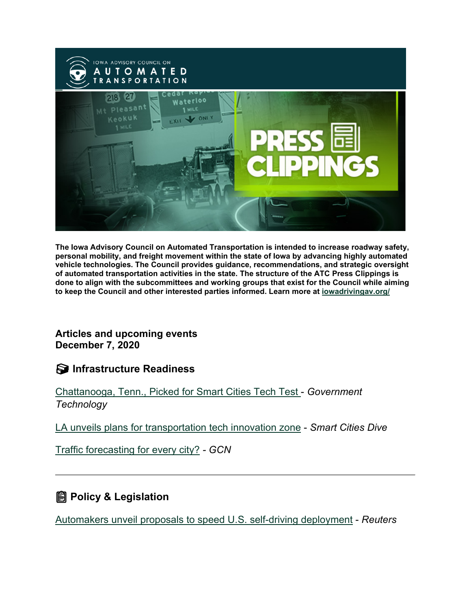

**The Iowa Advisory Council on Automated Transportation is intended to increase roadway safety, personal mobility, and freight movement within the state of Iowa by advancing highly automated vehicle technologies. The Council provides guidance, recommendations, and strategic oversight of automated transportation activities in the state. The structure of the ATC Press Clippings is done to align with the subcommittees and working groups that exist for the Council while aiming to keep the Council and other interested parties informed. Learn more at [iowadrivingav.org/](https://iowadrivingav.org/?utm_medium=email&utm_source=govdelivery)**

#### **Articles and upcoming events December 7, 2020**

#### **S** Infrastructure Readiness

[Chattanooga, Tenn., Picked for Smart Cities Tech Test](https://www.govtech.com/fs/infrastructure/Chattanooga-Tenn-Picked-For-Smart-Cities-Tech-Test.html?utm_medium=email&utm_source=govdelivery) - *Government Technology*

[LA unveils plans for transportation tech innovation zone](https://www.smartcitiesdive.com/news/la-unveils-plans-for-transportation-tech-innovation-zone/589345/?utm_medium=email&utm_source=govdelivery) - *Smart Cities Dive*

[Traffic forecasting for every city?](https://gcn.com/articles/2020/11/23/traffic-forecasting.aspx?utm_medium=email&utm_source=govdelivery) *- GCN*

### **Policy & Legislation**

[Automakers unveil proposals to speed U.S. self-driving deployment](https://uk.reuters.com/article/autos-selfdriving/automakers-unveil-proposals-to-speed-u-s-self-driving-deployment-idUKL1N2II1C8?utm_medium=email&utm_source=govdelivery) - *Reuters*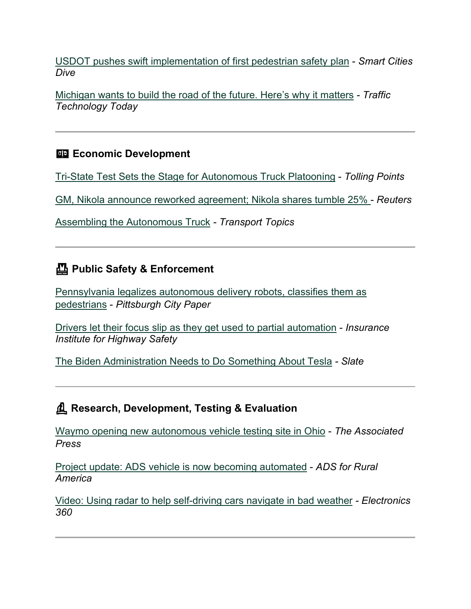[USDOT pushes swift implementation of first pedestrian safety plan](https://www.smartcitiesdive.com/news/usdot-pushes-swift-implementation-of-first-pedestrian-safety-plan/589846/?utm_medium=email&utm_source=govdelivery) - *Smart Cities Dive*

[Michigan wants to build the road of the future. Here's why it matters](https://www.traffictechnologytoday.com/news/autonomous-vehicles/exclusive-feature-michigan-wants-to-build-the-road-of-the-future-heres-why-it-matters.html?utm_medium=email&utm_source=govdelivery) *- Traffic Technology Today*

### **ED Economic Development**

[Tri-State Test Sets the Stage for Autonomous Truck Platooning](https://www.ibtta.org/blog/tri-state-test-sets-stage-autonomous-truck-platooning?utm_medium=email&utm_source=govdelivery) - *Tolling Points*

[GM, Nikola announce reworked agreement; Nikola shares tumble 25%](https://www.reuters.com/article/us-gm-nikola/gm-nikola-announce-reworked-smaller-deal-focused-on-supplying-fuel-cell-systems-idUSKBN28A1R8?utm_medium=email&utm_source=govdelivery) - *Reuters*

[Assembling the Autonomous Truck](https://www.ttnews.com/articles/assembling-autonomous-truck?utm_medium=email&utm_source=govdelivery) *- Transport Topics*

# **Public Safety & Enforcement**

[Pennsylvania legalizes autonomous delivery robots, classifies them as](https://www.pghcitypaper.com/pittsburgh/pennsylvania-legalizes-autonomous-delivery-robots-classifies-them-as-pedestrians/Content?oid=18482040&utm_medium=email&utm_source=govdelivery)  [pedestrians](https://www.pghcitypaper.com/pittsburgh/pennsylvania-legalizes-autonomous-delivery-robots-classifies-them-as-pedestrians/Content?oid=18482040&utm_medium=email&utm_source=govdelivery) - *Pittsburgh City Paper*

[Drivers let their focus slip as they get used to partial automation](https://www.iihs.org/news/detail/drivers-let-their-focus-slip-as-they-get-used-to-partial-automation?utm_medium=email&utm_source=govdelivery) - *Insurance Institute for Highway Safety*

[The Biden Administration Needs to Do Something About Tesla](https://slate.com/technology/2020/12/tesla-biden-self-driving-cars-regulation.html?utm_medium=email&utm_source=govdelivery) *- Slate*

# **Research, Development, Testing & Evaluation**

[Waymo opening new autonomous vehicle testing site in Ohio](https://apnews.com/article/technology-columbus-merced-california-toledo-93bbb0c9e8b1bec7a88793d30914031e?utm_medium=email&utm_source=govdelivery) - *The Associated Press*

Project [update: ADS vehicle is now becoming automated](https://adsforruralamerica.uiowa.edu/news/2020/12/project-update-our-vehicle-now-becoming-automated?utm_medium=email&utm_source=govdelivery) - *ADS for Rural America*

[Video: Using radar to help self-driving cars navigate in bad weather](https://electronics360.globalspec.com/article/16004/video-using-radar-to-help-self-driving-cars-navigate-in-bad-weather?utm_medium=email&utm_source=govdelivery) *- Electronics 360*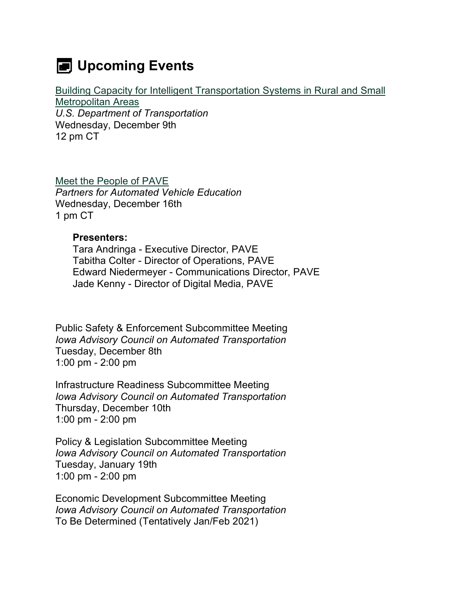# **E** Upcoming Events

[Building Capacity for Intelligent Transportation Systems in Rural and Small](https://www.pcb.its.dot.gov/t3/s201209_Building_Capacity_for_ITS_in_Rural_and_Small_Metropolitan_Areas.aspx?utm_medium=email&utm_source=govdelivery)  [Metropolitan Areas](https://www.pcb.its.dot.gov/t3/s201209_Building_Capacity_for_ITS_in_Rural_and_Small_Metropolitan_Areas.aspx?utm_medium=email&utm_source=govdelivery) *U.S. Department of Transportation*

Wednesday, December 9th 12 pm CT

[Meet the People of PAVE](https://pavecampaign.org/events-backup/pave-virtual-panel-meet-the-people-of-pave/?utm_medium=email&utm_source=govdelivery) *Partners for Automated Vehicle Education* Wednesday, December 16th 1 pm CT

#### **Presenters:**

Tara Andringa - Executive Director, PAVE Tabitha Colter - Director of Operations, PAVE Edward Niedermeyer - Communications Director, PAVE Jade Kenny - Director of Digital Media, PAVE

Public Safety & Enforcement Subcommittee Meeting *Iowa Advisory Council on Automated Transportation* Tuesday, December 8th 1:00 pm - 2:00 pm

Infrastructure Readiness Subcommittee Meeting *Iowa Advisory Council on Automated Transportation* Thursday, December 10th 1:00 pm - 2:00 pm

Policy & Legislation Subcommittee Meeting *Iowa Advisory Council on Automated Transportation* Tuesday, January 19th 1:00 pm - 2:00 pm

Economic Development Subcommittee Meeting *Iowa Advisory Council on Automated Transportation* To Be Determined (Tentatively Jan/Feb 2021)